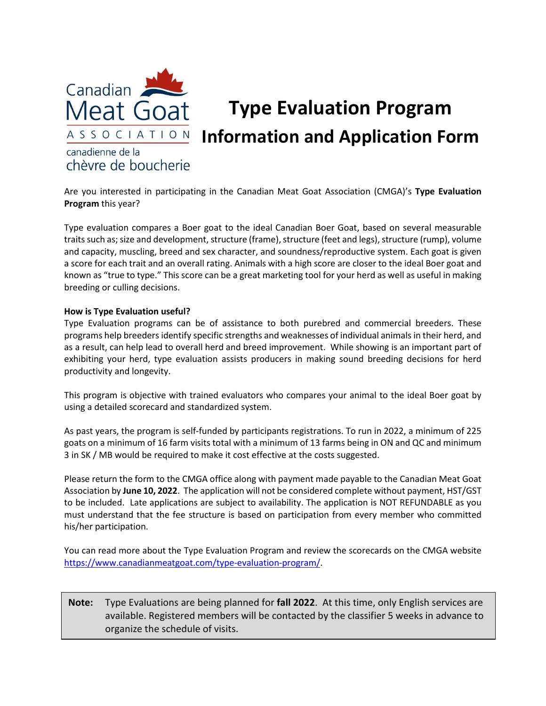

# **Type Evaluation Program Information and Application Form**

### canadienne de la chèvre de boucherie

Are you interested in participating in the Canadian Meat Goat Association (CMGA)'s **Type Evaluation Program** this year?

Type evaluation compares a Boer goat to the ideal Canadian Boer Goat, based on several measurable traits such as; size and development, structure (frame), structure (feet and legs), structure (rump), volume and capacity, muscling, breed and sex character, and soundness/reproductive system. Each goat is given a score for each trait and an overall rating. Animals with a high score are closer to the ideal Boer goat and known as "true to type." This score can be a great marketing tool for your herd as well as useful in making breeding or culling decisions.

#### **How is Type Evaluation useful?**

Type Evaluation programs can be of assistance to both purebred and commercial breeders. These programs help breeders identify specific strengths and weaknesses of individual animals in their herd, and as a result, can help lead to overall herd and breed improvement. While showing is an important part of exhibiting your herd, type evaluation assists producers in making sound breeding decisions for herd productivity and longevity.

This program is objective with trained evaluators who compares your animal to the ideal Boer goat by using a detailed scorecard and standardized system.

As past years, the program is self-funded by participants registrations. To run in 2022, a minimum of 225 goats on a minimum of 16 farm visits total with a minimum of 13 farms being in ON and QC and minimum 3 in SK / MB would be required to make it cost effective at the costs suggested.

Please return the form to the CMGA office along with payment made payable to the Canadian Meat Goat Association by **June 10, 2022**. The application will not be considered complete without payment, HST/GST to be included. Late applications are subject to availability. The application is NOT REFUNDABLE as you must understand that the fee structure is based on participation from every member who committed his/her participation.

You can read more about the Type Evaluation Program and review the scorecards on the CMGA website [https://www.canadianmeatgoat.com/type-evaluation-program/.](https://www.canadianmeatgoat.com/type-evaluation-program/)

#### **Note:** Type Evaluations are being planned for **fall 2022**. At this time, only English services are available. Registered members will be contacted by the classifier 5 weeks in advance to organize the schedule of visits.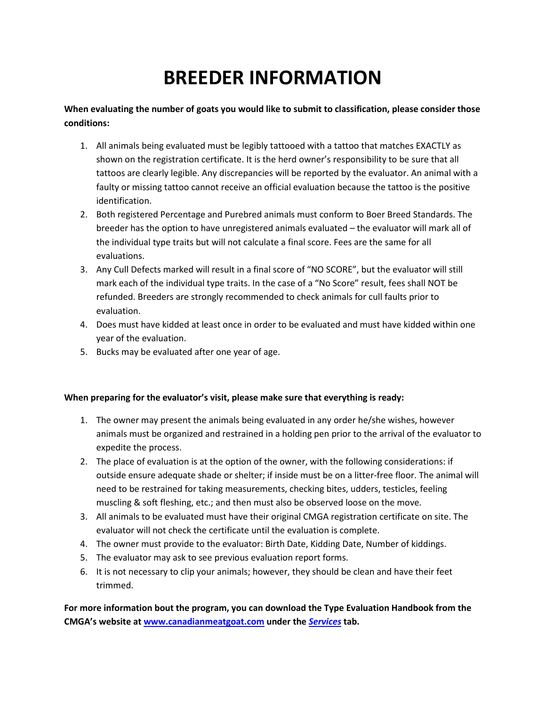## **BREEDER INFORMATION**

**When evaluating the number of goats you would like to submit to classification, please consider those conditions:**

- 1. All animals being evaluated must be legibly tattooed with a tattoo that matches EXACTLY as shown on the registration certificate. It is the herd owner's responsibility to be sure that all tattoos are clearly legible. Any discrepancies will be reported by the evaluator. An animal with a faulty or missing tattoo cannot receive an official evaluation because the tattoo is the positive identification.
- 2. Both registered Percentage and Purebred animals must conform to Boer Breed Standards. The breeder has the option to have unregistered animals evaluated – the evaluator will mark all of the individual type traits but will not calculate a final score. Fees are the same for all evaluations.
- 3. Any Cull Defects marked will result in a final score of "NO SCORE", but the evaluator will still mark each of the individual type traits. In the case of a "No Score" result, fees shall NOT be refunded. Breeders are strongly recommended to check animals for cull faults prior to evaluation.
- 4. Does must have kidded at least once in order to be evaluated and must have kidded within one year of the evaluation.
- 5. Bucks may be evaluated after one year of age.

#### **When preparing for the evaluator's visit, please make sure that everything is ready:**

- 1. The owner may present the animals being evaluated in any order he/she wishes, however animals must be organized and restrained in a holding pen prior to the arrival of the evaluator to expedite the process.
- 2. The place of evaluation is at the option of the owner, with the following considerations: if outside ensure adequate shade or shelter; if inside must be on a litter-free floor. The animal will need to be restrained for taking measurements, checking bites, udders, testicles, feeling muscling & soft fleshing, etc.; and then must also be observed loose on the move.
- 3. All animals to be evaluated must have their original CMGA registration certificate on site. The evaluator will not check the certificate until the evaluation is complete.
- 4. The owner must provide to the evaluator: Birth Date, Kidding Date, Number of kiddings.
- 5. The evaluator may ask to see previous evaluation report forms.
- 6. It is not necessary to clip your animals; however, they should be clean and have their feet trimmed.

**For more information bout the program, you can download the Type Evaluation Handbook from the CMGA's website at [www.canadianmeatgoat.com](http://www.canadianmeatgoat.com/) under the** *[Services](https://www.canadianmeatgoat.com/wp-content/uploads/2021/12/2014_TE_Handbook-new.pdf)* **tab.**